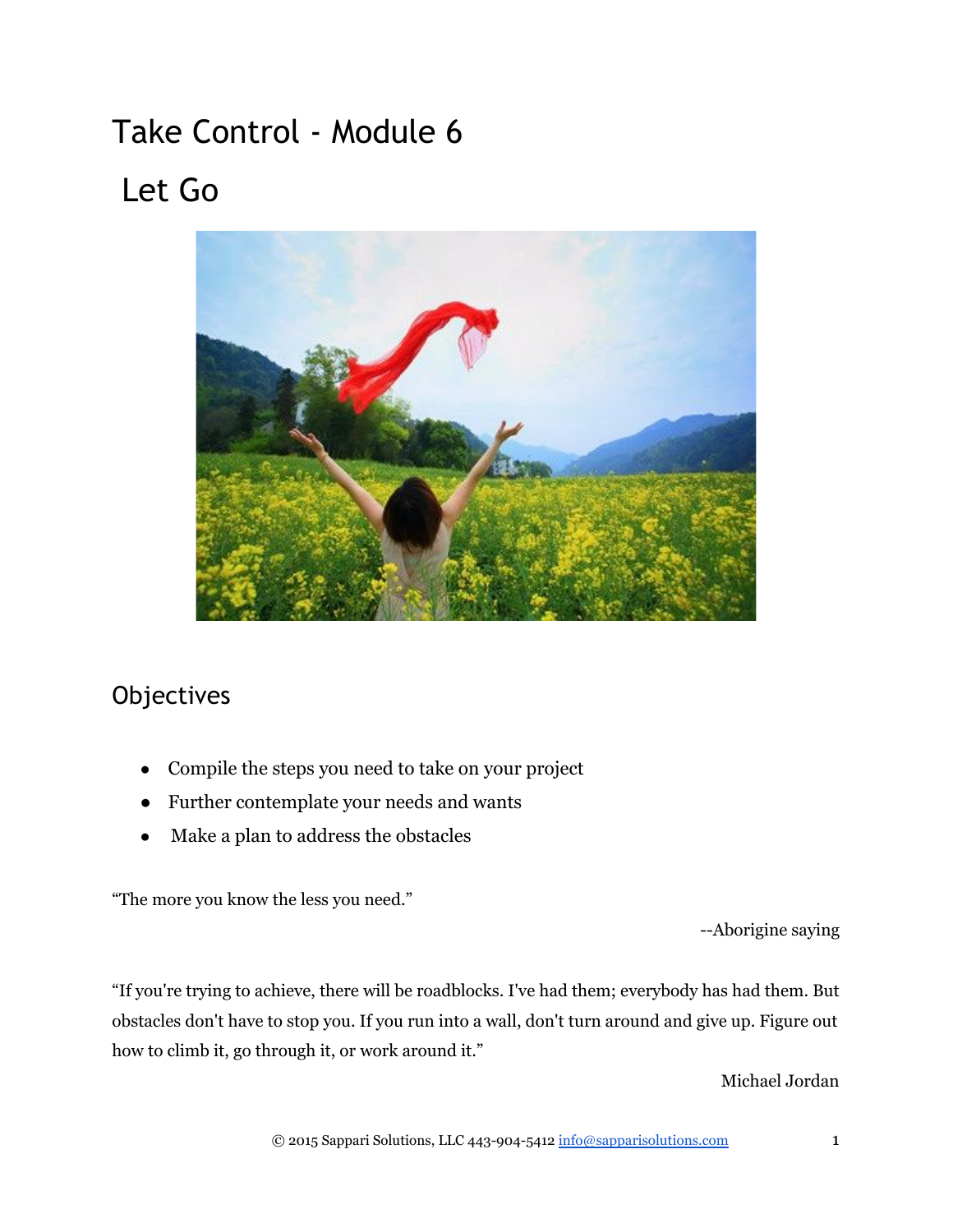# Take Control ‐ Module 6 Let Go



# **Objectives**

- Compile the steps you need to take on your project
- Further contemplate your needs and wants
- Make a plan to address the obstacles

"The more you know the less you need."

Aborigine saying

"[If you're trying to achieve, there will be roadblocks. I've had them; everybody has](http://www.brainyquote.com/quotes/quotes/m/michaeljor129404.html?src=t_obstacles) had them. But [obstacles don't have to stop you. If you run into a wall, don't turn](http://www.brainyquote.com/quotes/quotes/m/michaeljor129404.html?src=t_obstacles) around and give up. Figure out [how to climb it, go through it, or work around it."](http://www.brainyquote.com/quotes/quotes/m/michaeljor129404.html?src=t_obstacles)

Michael Jordan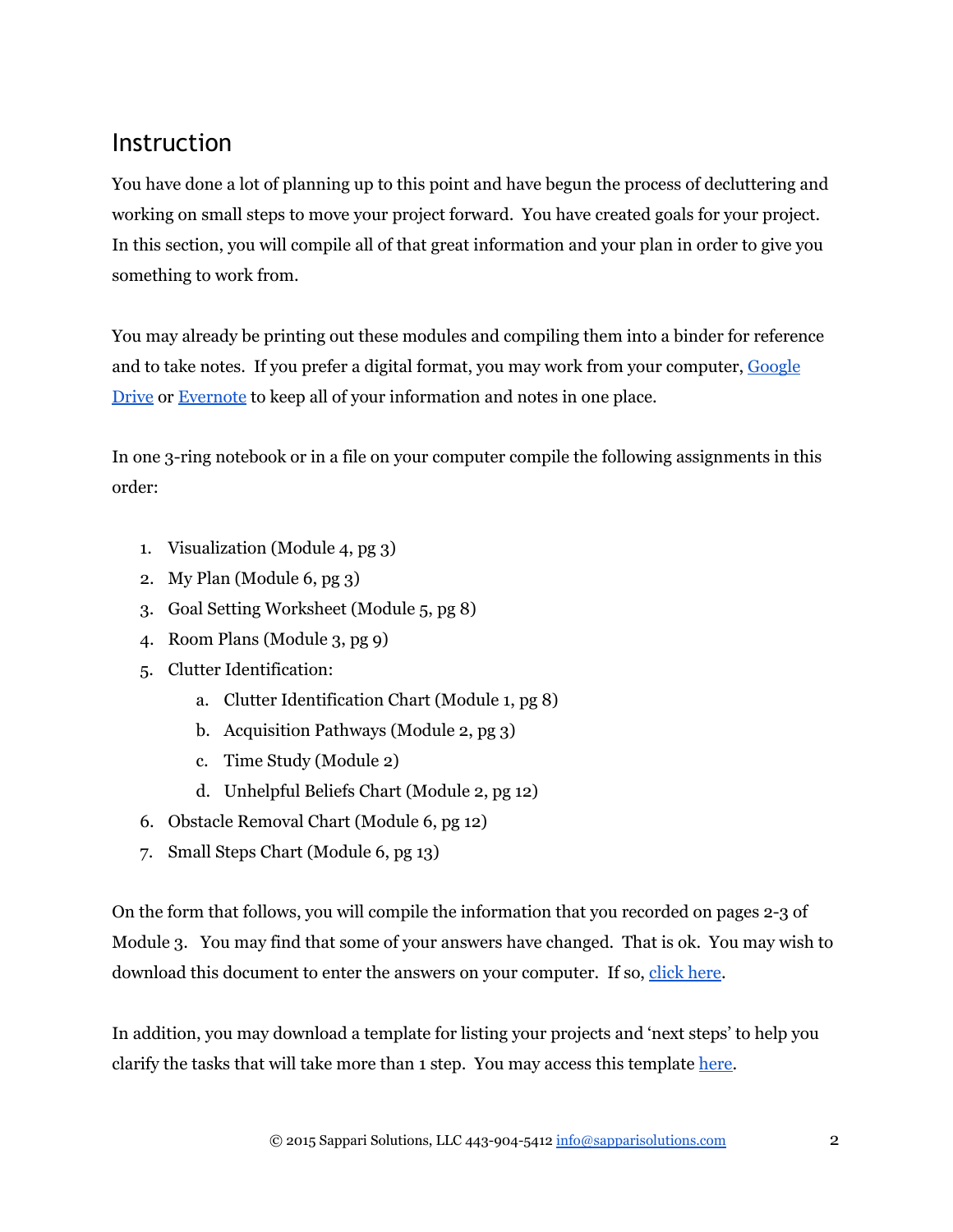# Instruction

You have done a lot of planning up to this point and have begun the process of decluttering and working on small steps to move your project forward. You have created goals for your project. In this section, you will compile all of that great information and your plan in order to give you something to work from.

You may already be printing out these modules and compiling them into a binder for reference and to take notes. If you prefer a digital format, you may work from your computer, [Google](https://www.google.com/drive/index.html) [Drive](https://www.google.com/drive/index.html) or [Evernote](https://evernote.com/) to keep all of your information and notes in one place.

In one 3-ring notebook or in a file on your computer compile the following assignments in this order:

- 1. Visualization (Module 4, pg 3)
- 2. My Plan (Module 6, pg 3)
- 3. Goal Setting Worksheet (Module 5, pg 8)
- 4. Room Plans (Module 3, pg 9)
- 5. Clutter Identification:
	- a. Clutter Identification Chart (Module 1, pg 8)
	- b. Acquisition Pathways (Module 2, pg 3)
	- c. Time Study (Module 2)
	- d. Unhelpful Beliefs Chart (Module 2, pg 12)
- 6. Obstacle Removal Chart (Module 6, pg 12)
- 7. Small Steps Chart (Module 6, pg 13)

On the form that follows, you will compile the information that you recorded on pages 23 of Module 3. You may find that some of your answers have changed. That is ok. You may wish to download this document to enter the answers on your computer. If so, [click](https://drive.google.com/file/d/0B19SYP7hU7-xcGJpWWVOWkF5aUU/view?usp=sharing) here.

In addition, you may download a template for listing your projects and 'next steps' to help you clarify the tasks that will take more than 1 step. You may access this template [here.](https://drive.google.com/file/d/0B19SYP7hU7-xYlRpZTVLN0cyM3c/view?usp=sharing)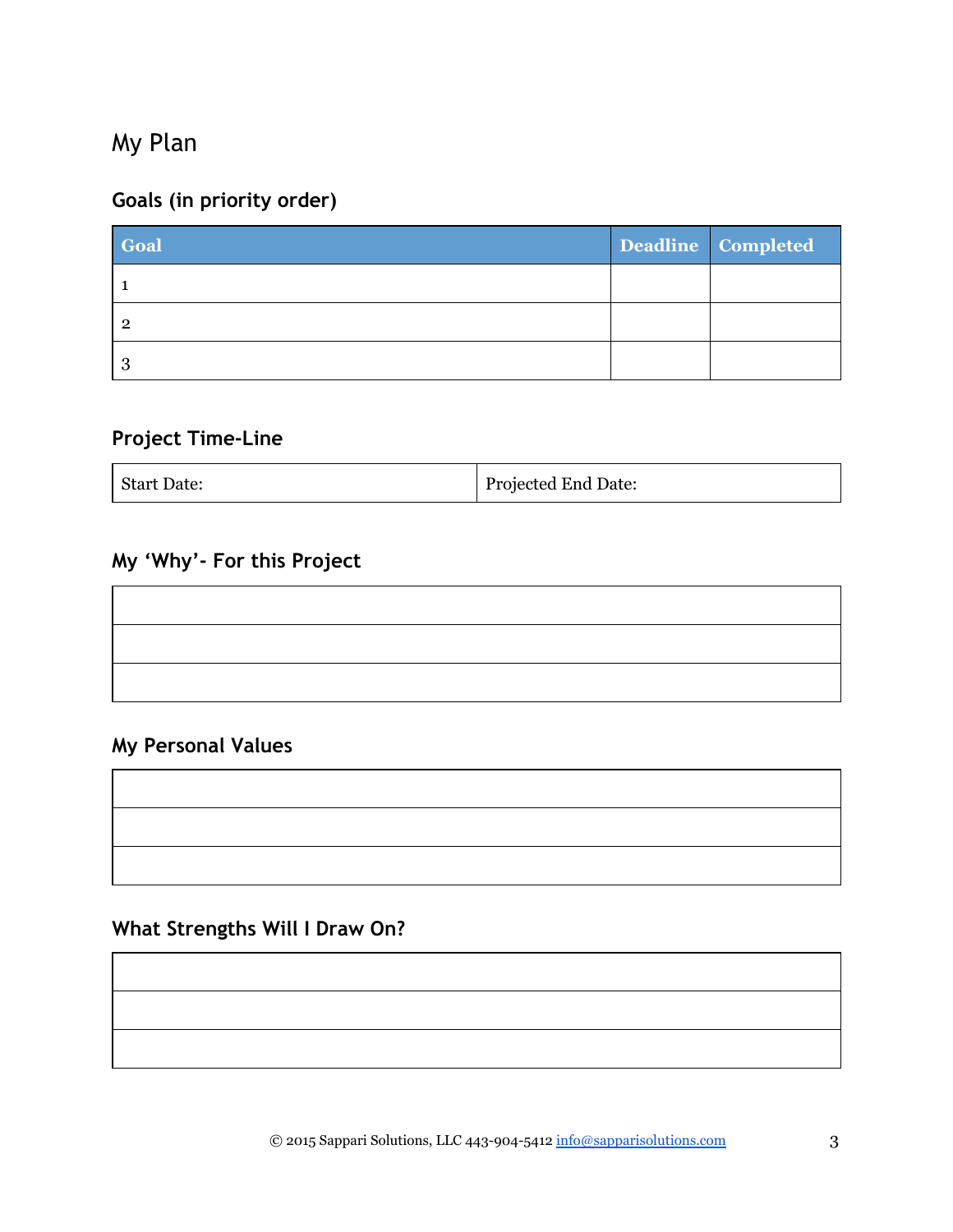# My Plan

# **Goals (in priority order)**

| Goal | Deadline Completed |
|------|--------------------|
|      |                    |
| റ    |                    |
| ി    |                    |

### **Project Time‐Line**

| <b>Start Date:</b> | <b>Projected End Date:</b> |
|--------------------|----------------------------|
|--------------------|----------------------------|

### **My 'Why'‐ For this Project**

### **My Personal Values**

# **What Strengths Will I Draw On?**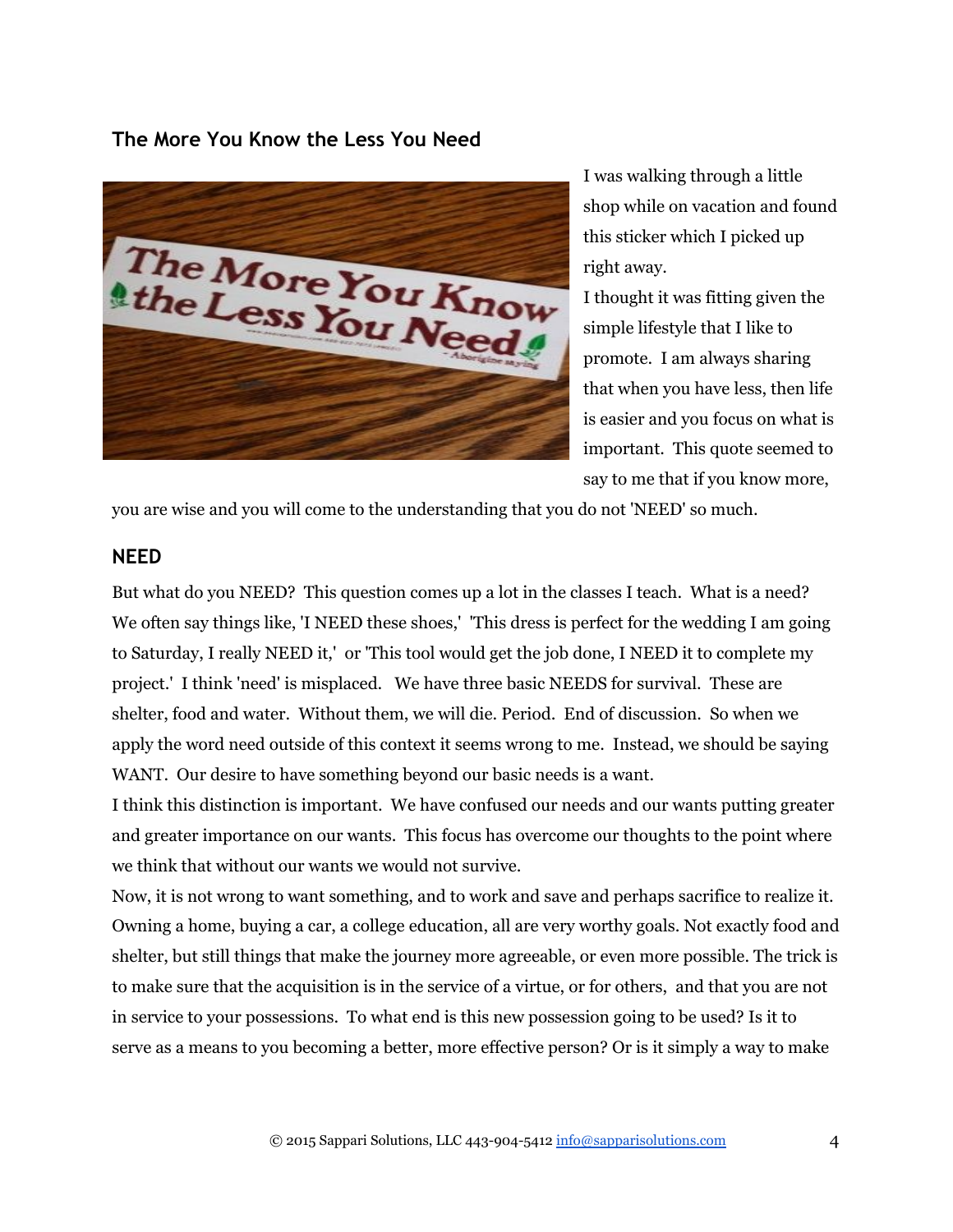#### **The More You Know the Less You Need**



I was walking through a little shop while on vacation and found this sticker which I picked up right away.

I thought it was fitting given the simple lifestyle that I like to promote. I am always sharing that when you have less, then life is easier and you focus on what is important. This quote seemed to say to me that if you know more,

you are wise and you will come to the understanding that you do not 'NEED' so much.

#### **NEED**

But what do you NEED? This question comes up a lot in the classes I teach. What is a need? We often say things like, 'I NEED these shoes,' 'This dress is perfect for the wedding I am going to Saturday, I really NEED it,' or 'This tool would get the job done, I NEED it to complete my project.' I think 'need' is misplaced. We have three basic NEEDS for survival. These are shelter, food and water. Without them, we will die. Period. End of discussion. So when we apply the word need outside of this context it seems wrong to me. Instead, we should be saying WANT. Our desire to have something beyond our basic needs is a want.

I think this distinction is important. We have confused our needs and our wants putting greater and greater importance on our wants. This focus has overcome our thoughts to the point where we think that without our wants we would not survive.

Now, it is not wrong to want something, and to work and save and perhaps sacrifice to realize it. Owning a home, buying a car, a college education, all are very worthy goals. Not exactly food and shelter, but still things that make the journey more agreeable, or even more possible. The trick is to make sure that the acquisition is in the service of a virtue, or for others, and that you are not in service to your possessions. To what end is this new possession going to be used? Is it to serve as a means to you becoming a better, more effective person? Or is it simply a way to make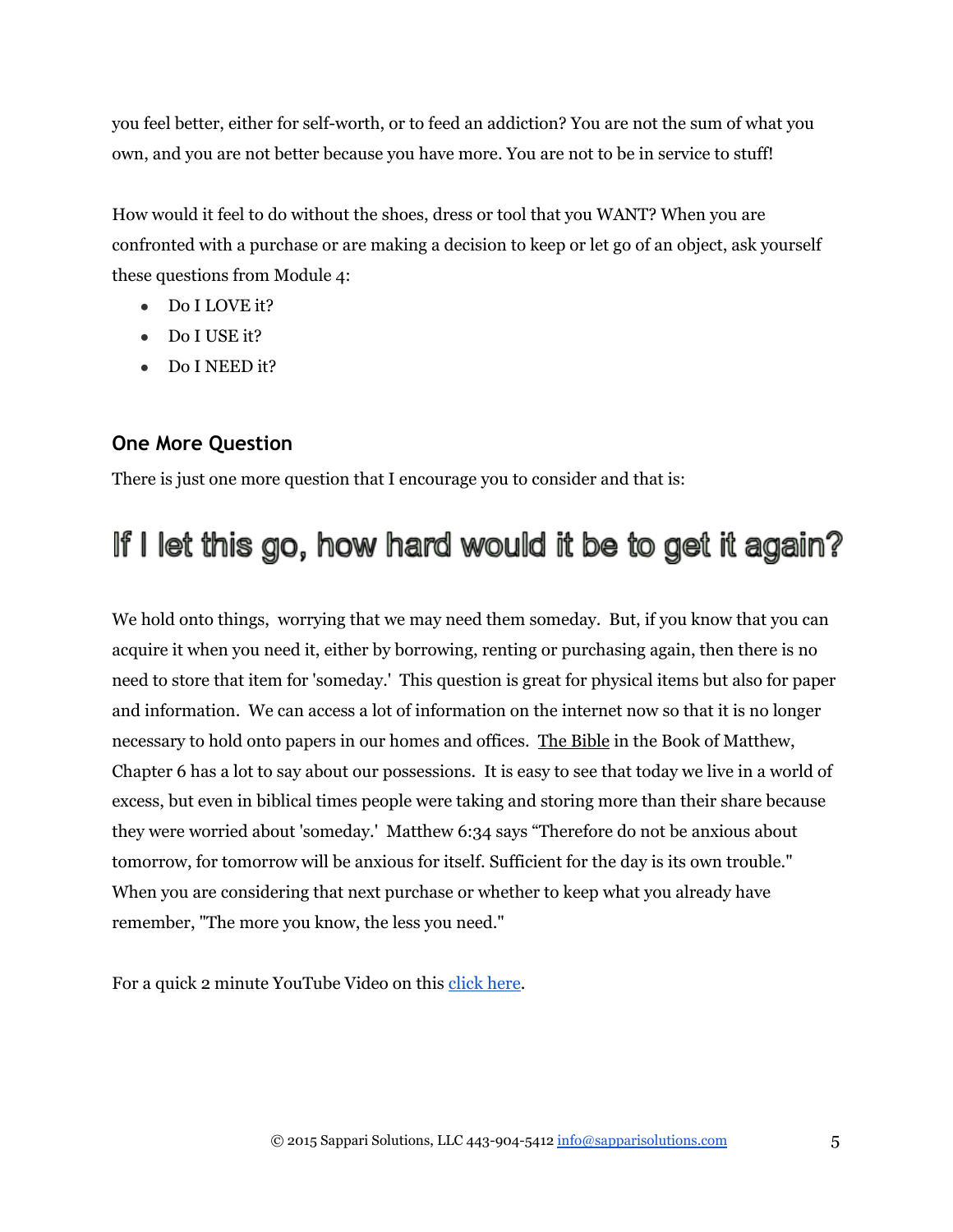you feel better, either for self-worth, or to feed an addiction? You are not the sum of what you own, and you are not better because you have more. You are not to be in service to stuff!

How would it feel to do without the shoes, dress or tool that you WANT? When you are confronted with a purchase or are making a decision to keep or let go of an object, ask yourself these questions from Module 4:

- Do I LOVE it?
- Do I USE it?
- Do I NEED it?

### **One More Question**

There is just one more question that I encourage you to consider and that is:

# If I let this go, how hard would it be to get it again?

We hold onto things, worrying that we may need them someday. But, if you know that you can acquire it when you need it, either by borrowing, renting or purchasing again, then there is no need to store that item for 'someday.' This question is great for physical items but also for paper and information. We can access a lot of information on the internet now so that it is no longer necessary to hold onto papers in our homes and offices. The Bible in the Book of Matthew, Chapter 6 has a lot to say about our possessions. It is easy to see that today we live in a world of excess, but even in biblical times people were taking and storing more than their share because they were worried about 'someday.' Matthew 6:34 says "Therefore do not be anxious about tomorrow, for tomorrow will be anxious for itself. Sufficient for the day is its own trouble." When you are considering that next purchase or whether to keep what you already have remember, "The more you know, the less you need."

For a quick 2 minute YouTube Video on this [click here.](https://www.youtube.com/watch?v=YQQFAOWYPMk)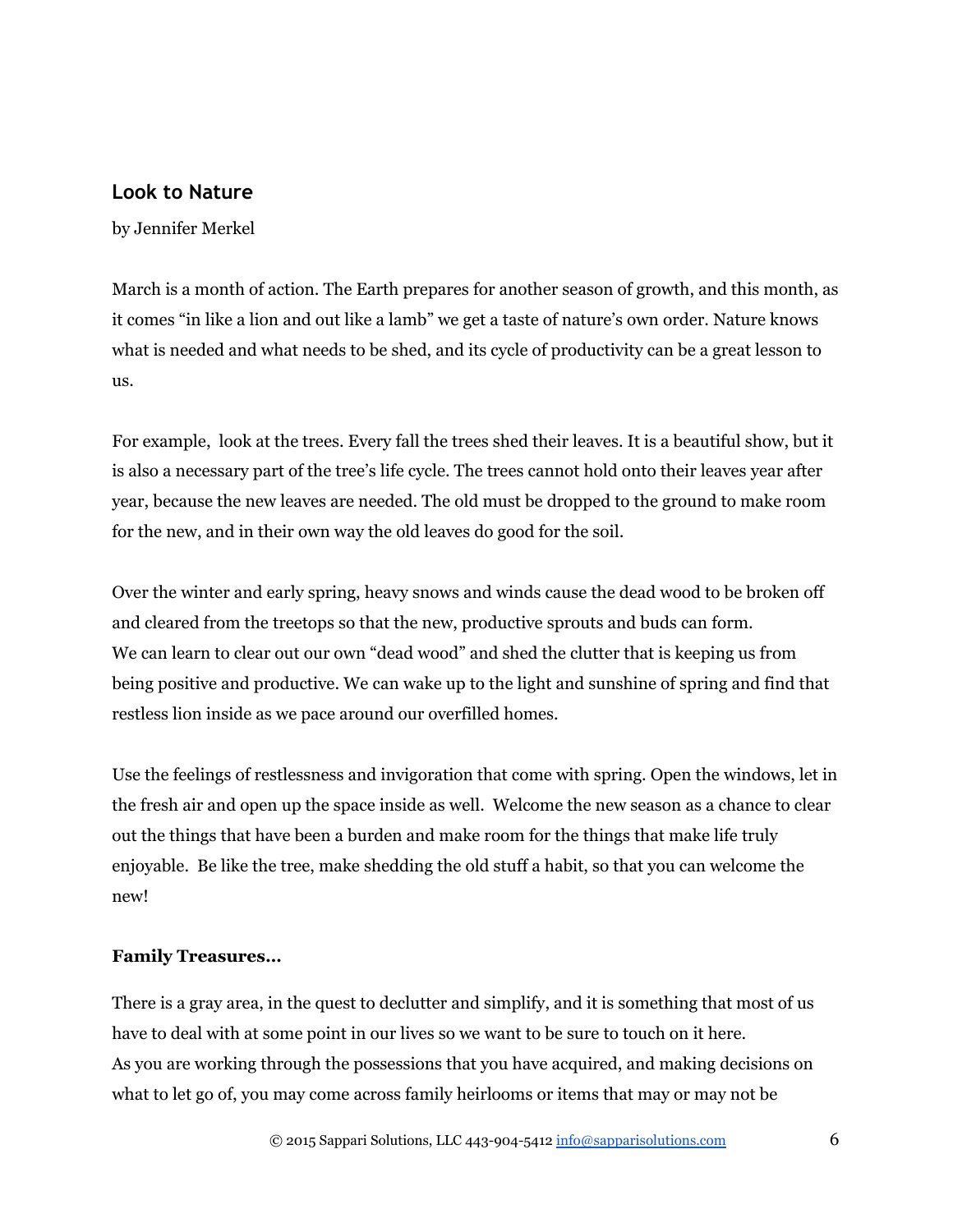#### **Look to Nature**

by Jennifer Merkel

March is a month of action. The Earth prepares for another season of growth, and this month, as it comes "in like a lion and out like a lamb" we get a taste of nature's own order. Nature knows what is needed and what needs to be shed, and its cycle of productivity can be a great lesson to us.

For example, look at the trees. Every fall the trees shed their leaves. It is a beautiful show, but it is also a necessary part of the tree's life cycle. The trees cannot hold onto their leaves year after year, because the new leaves are needed. The old must be dropped to the ground to make room for the new, and in their own way the old leaves do good for the soil.

Over the winter and early spring, heavy snows and winds cause the dead wood to be broken off and cleared from the treetops so that the new, productive sprouts and buds can form. We can learn to clear out our own "dead wood" and shed the clutter that is keeping us from being positive and productive. We can wake up to the light and sunshine of spring and find that restless lion inside as we pace around our overfilled homes.

Use the feelings of restlessness and invigoration that come with spring. Open the windows, let in the fresh air and open up the space inside as well. Welcome the new season as a chance to clear out the things that have been a burden and make room for the things that make life truly enjoyable. Be like the tree, make shedding the old stuff a habit, so that you can welcome the new!

#### **Family Treasures…**

There is a gray area, in the quest to declutter and simplify, and it is something that most of us have to deal with at some point in our lives so we want to be sure to touch on it here. As you are working through the possessions that you have acquired, and making decisions on what to let go of, you may come across family heirlooms or items that may or may not be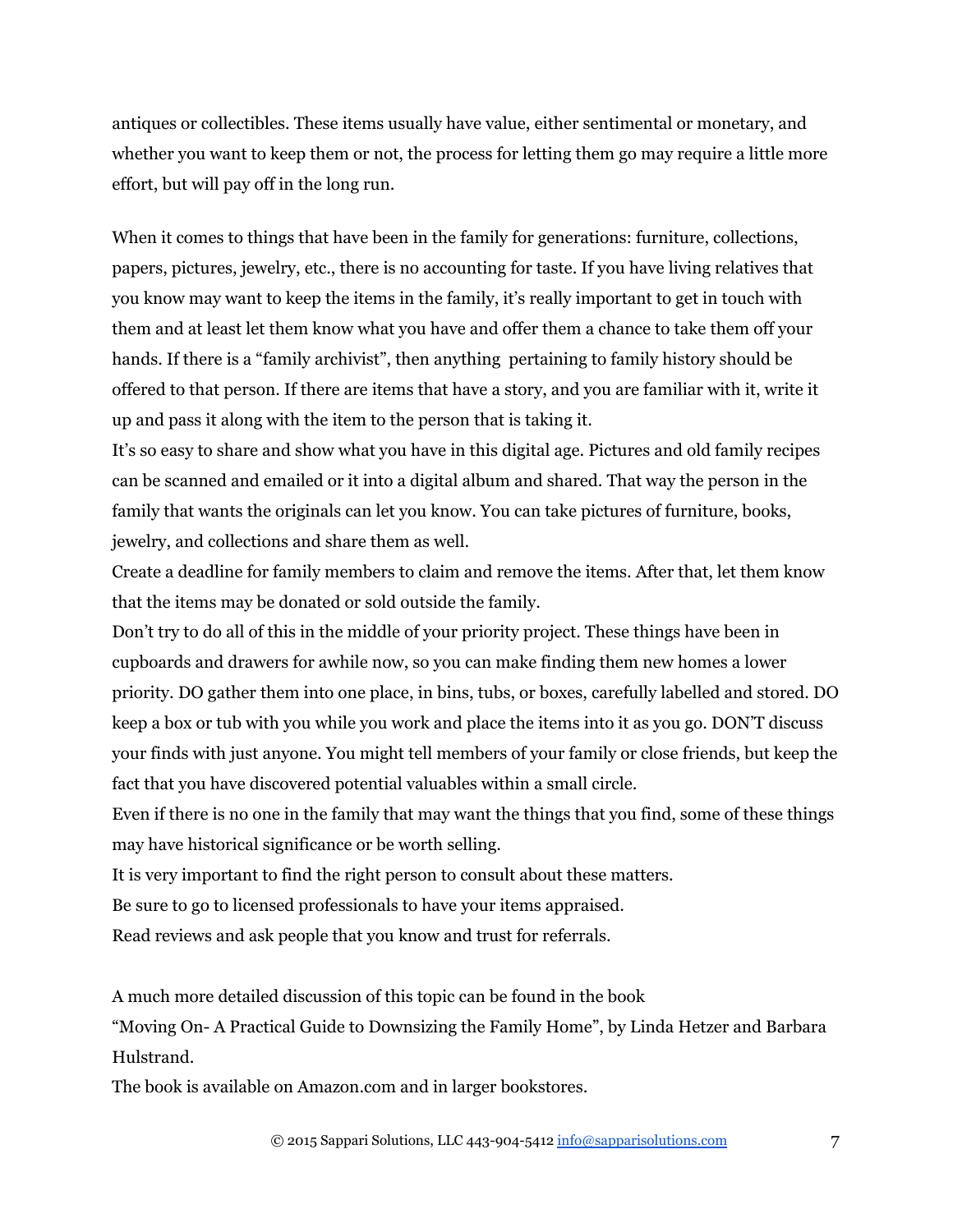antiques or collectibles. These items usually have value, either sentimental or monetary, and whether you want to keep them or not, the process for letting them go may require a little more effort, but will pay off in the long run.

When it comes to things that have been in the family for generations: furniture, collections, papers, pictures, jewelry, etc., there is no accounting for taste. If you have living relatives that you know may want to keep the items in the family, it's really important to get in touch with them and at least let them know what you have and offer them a chance to take them off your hands. If there is a "family archivist", then anything pertaining to family history should be offered to that person. If there are items that have a story, and you are familiar with it, write it up and pass it along with the item to the person that is taking it.

It's so easy to share and show what you have in this digital age. Pictures and old family recipes can be scanned and emailed or it into a digital album and shared. That way the person in the family that wants the originals can let you know. You can take pictures of furniture, books, jewelry, and collections and share them as well.

Create a deadline for family members to claim and remove the items. After that, let them know that the items may be donated or sold outside the family.

Don't try to do all of this in the middle of your priority project. These things have been in cupboards and drawers for awhile now, so you can make finding them new homes a lower priority. DO gather them into one place, in bins, tubs, or boxes, carefully labelled and stored. DO keep a box or tub with you while you work and place the items into it as you go. DON'T discuss your finds with just anyone. You might tell members of your family or close friends, but keep the fact that you have discovered potential valuables within a small circle.

Even if there is no one in the family that may want the things that you find, some of these things may have historical significance or be worth selling.

It is very important to find the right person to consult about these matters.

Be sure to go to licensed professionals to have your items appraised.

Read reviews and ask people that you know and trust for referrals.

A much more detailed discussion of this topic can be found in the book

"Moving On-A Practical Guide to Downsizing the Family Home", by Linda Hetzer and Barbara Hulstrand.

The book is available on Amazon.com and in larger bookstores.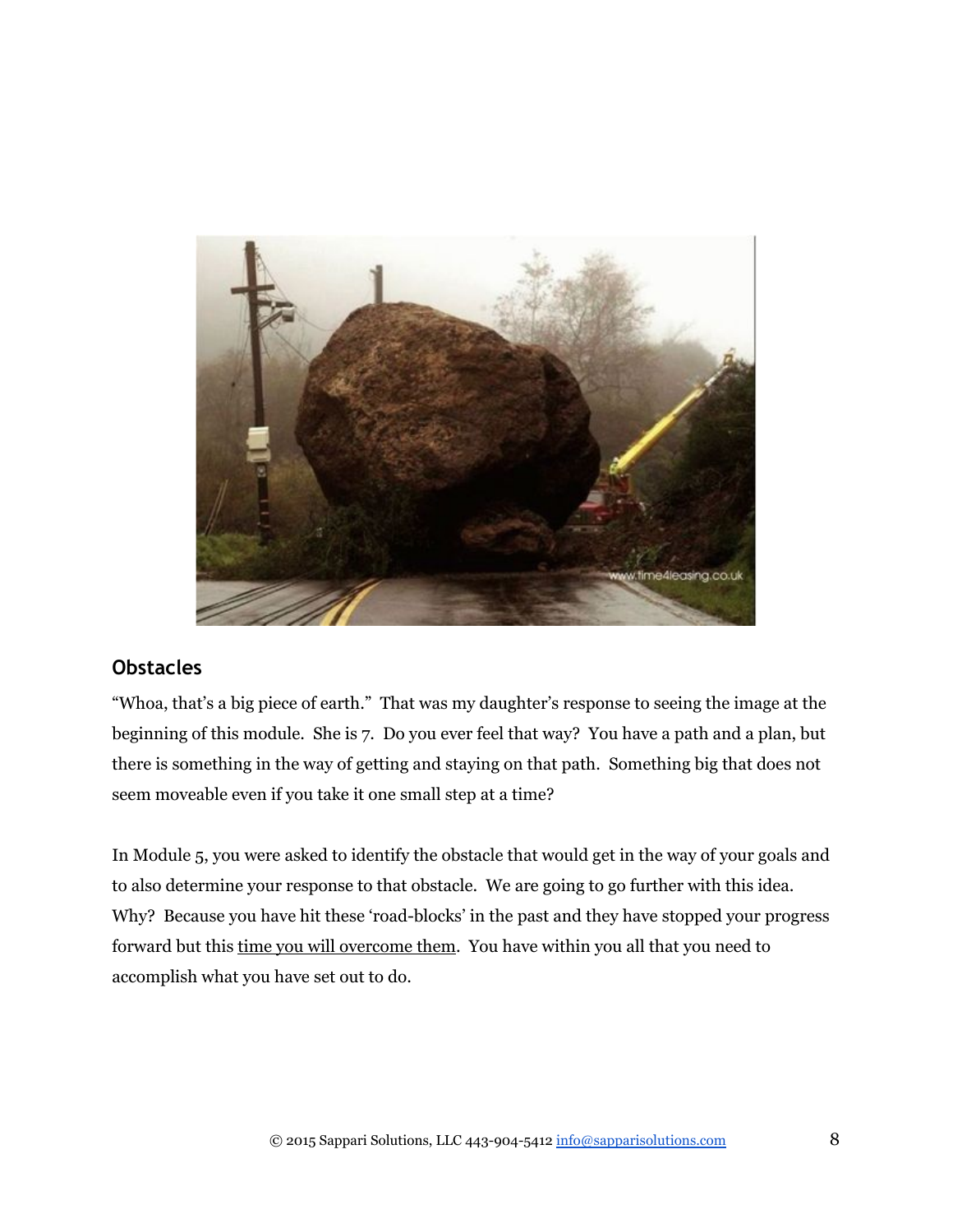

#### **Obstacles**

"Whoa, that's a big piece of earth." That was my daughter's response to seeing the image at the beginning of this module. She is 7. Do you ever feel that way? You have a path and a plan, but there is something in the way of getting and staying on that path. Something big that does not seem moveable even if you take it one small step at a time?

In Module 5, you were asked to identify the obstacle that would get in the way of your goals and to also determine your response to that obstacle. We are going to go further with this idea. Why? Because you have hit these 'road-blocks' in the past and they have stopped your progress forward but this time you will overcome them. You have within you all that you need to accomplish what you have set out to do.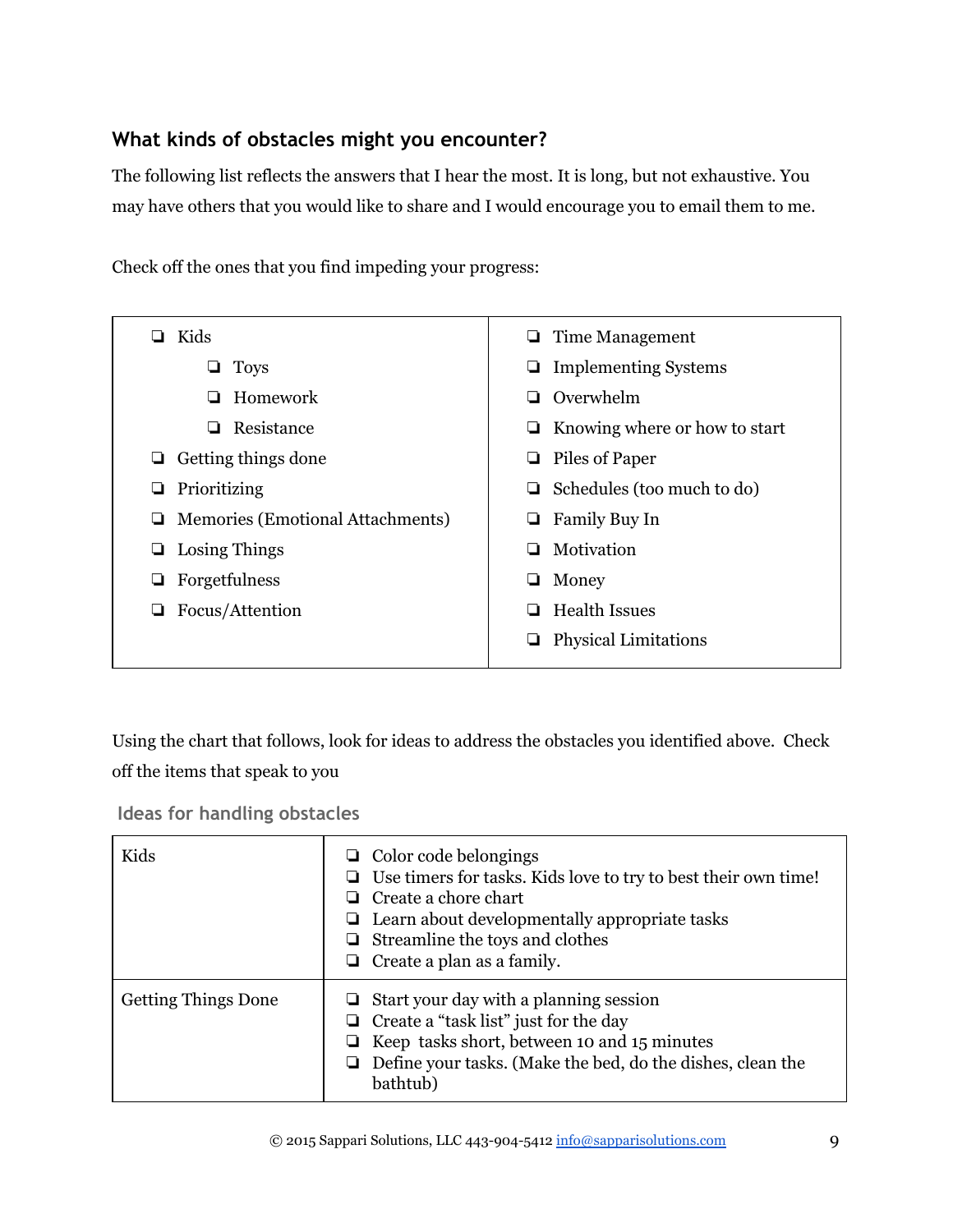### **What kinds of obstacles might you encounter?**

The following list reflects the answers that I hear the most. It is long, but not exhaustive. You may have others that you would like to share and I would encourage you to email them to me.

Check off the ones that you find impeding your progress:

| Kids                             | $\Box$ Time Management               |
|----------------------------------|--------------------------------------|
| <b>Toys</b>                      | $\Box$ Implementing Systems          |
| Homework                         | Overwhelm                            |
| Resistance<br>u                  | $\Box$ Knowing where or how to start |
| Getting things done              | $\Box$ Piles of Paper                |
| Prioritizing<br>⊔                | $\Box$ Schedules (too much to do)    |
| Memories (Emotional Attachments) | Family Buy In<br>⊔                   |
| <b>Losing Things</b><br>⊔        | Motivation<br>❏                      |
| Forgetfulness<br>⊔               | Money<br>⊔                           |
| Focus/Attention                  | <b>Health Issues</b>                 |
|                                  | <b>Physical Limitations</b>          |
|                                  |                                      |

Using the chart that follows, look for ideas to address the obstacles you identified above. Check off the items that speak to you

 **Ideas for handling obstacles**

| Kids                       | $\Box$ Color code belongings<br>Use timers for tasks. Kids love to try to best their own time!<br>Create a chore chart<br>Learn about developmentally appropriate tasks<br>Streamline the toys and clothes<br>⊔<br>Create a plan as a family.<br>u. |
|----------------------------|-----------------------------------------------------------------------------------------------------------------------------------------------------------------------------------------------------------------------------------------------------|
| <b>Getting Things Done</b> | Start your day with a planning session<br>⊔<br>Create a "task list" just for the day<br>⊔<br>Keep tasks short, between 10 and 15 minutes<br>Define your tasks. (Make the bed, do the dishes, clean the<br>bathtub)                                  |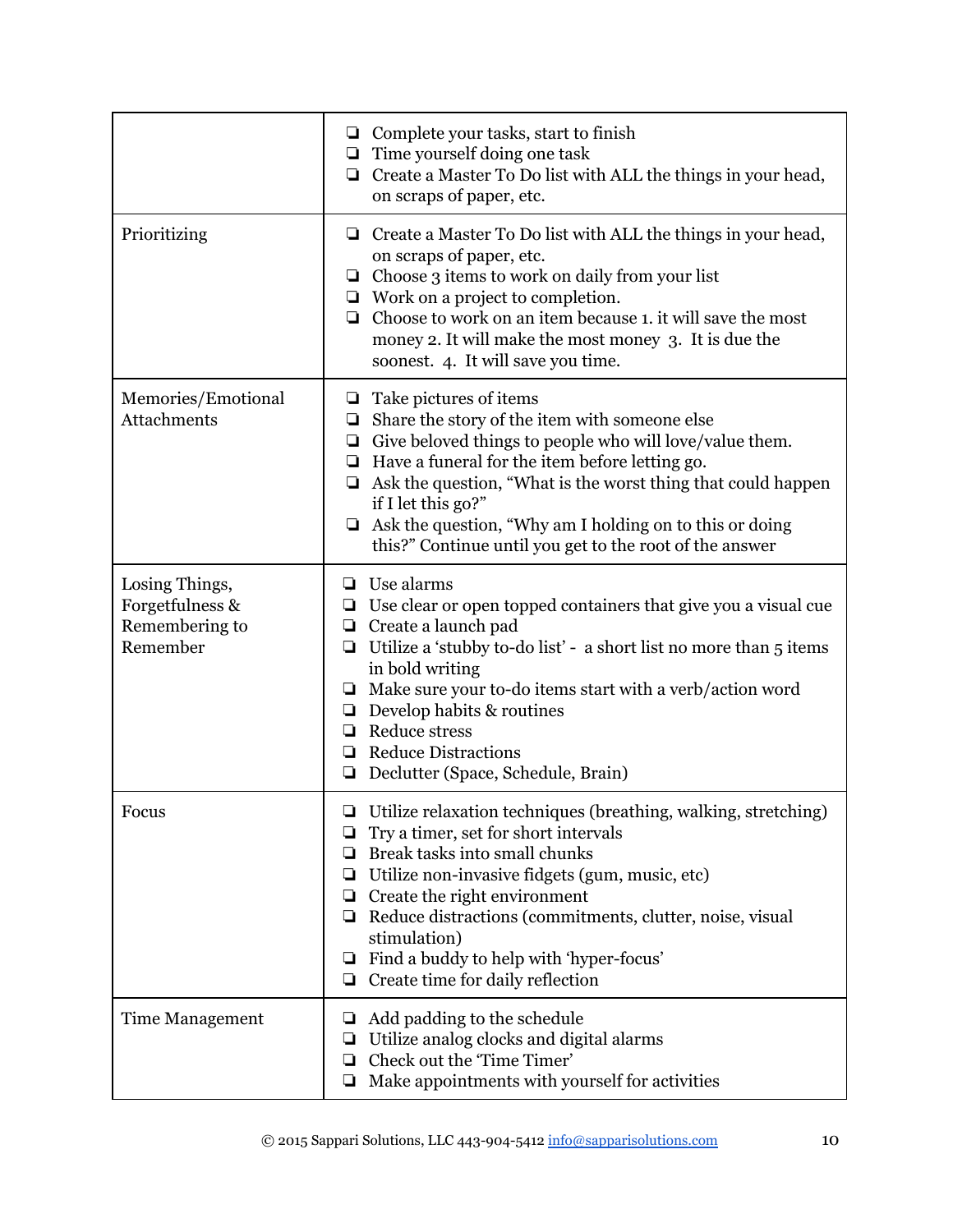|                                                                 | Complete your tasks, start to finish<br>❏<br>Time yourself doing one task<br>❏<br>$\Box$ Create a Master To Do list with ALL the things in your head,<br>on scraps of paper, etc.                                                                                                                                                                                                                                                |
|-----------------------------------------------------------------|----------------------------------------------------------------------------------------------------------------------------------------------------------------------------------------------------------------------------------------------------------------------------------------------------------------------------------------------------------------------------------------------------------------------------------|
| Prioritizing                                                    | Create a Master To Do list with ALL the things in your head,<br>❏<br>on scraps of paper, etc.<br>$\Box$ Choose 3 items to work on daily from your list<br>$\Box$ Work on a project to completion.<br>Choose to work on an item because 1. it will save the most<br>❏<br>money 2. It will make the most money 3. It is due the<br>soonest. 4. It will save you time.                                                              |
| Memories/Emotional<br><b>Attachments</b>                        | Take pictures of items<br>❏<br>Share the story of the item with someone else<br>❏<br>Give beloved things to people who will love/value them.<br>❏<br>Have a funeral for the item before letting go.<br>❏<br>Ask the question, "What is the worst thing that could happen<br>❏<br>if I let this $go?"$<br>Ask the question, "Why am I holding on to this or doing<br>❏<br>this?" Continue until you get to the root of the answer |
| Losing Things,<br>Forgetfulness &<br>Remembering to<br>Remember | Use alarms<br>❏<br>Use clear or open topped containers that give you a visual cue<br>❏<br>Create a launch pad<br>❏<br>Utilize a 'stubby to-do list' - a short list no more than 5 items<br>❏<br>in bold writing<br>Make sure your to-do items start with a verb/action word<br>❏<br>Develop habits & routines<br>❏<br><b>Reduce stress</b><br>❏<br><b>Reduce Distractions</b><br>❏<br>Declutter (Space, Schedule, Brain)<br>❏    |
| Focus                                                           | $\Box$ Utilize relaxation techniques (breathing, walking, stretching)<br>Try a timer, set for short intervals<br>Break tasks into small chunks<br>u<br>Utilize non-invasive fidgets (gum, music, etc)<br>❏<br>Create the right environment<br>⊔<br>Reduce distractions (commitments, clutter, noise, visual<br>⊔<br>stimulation)<br>Find a buddy to help with 'hyper-focus'<br>❏<br>Create time for daily reflection<br>❏        |
| <b>Time Management</b>                                          | Add padding to the schedule<br>⊔<br>Utilize analog clocks and digital alarms<br>⊔<br>Check out the 'Time Timer'<br>❏<br>Make appointments with yourself for activities<br>❏                                                                                                                                                                                                                                                      |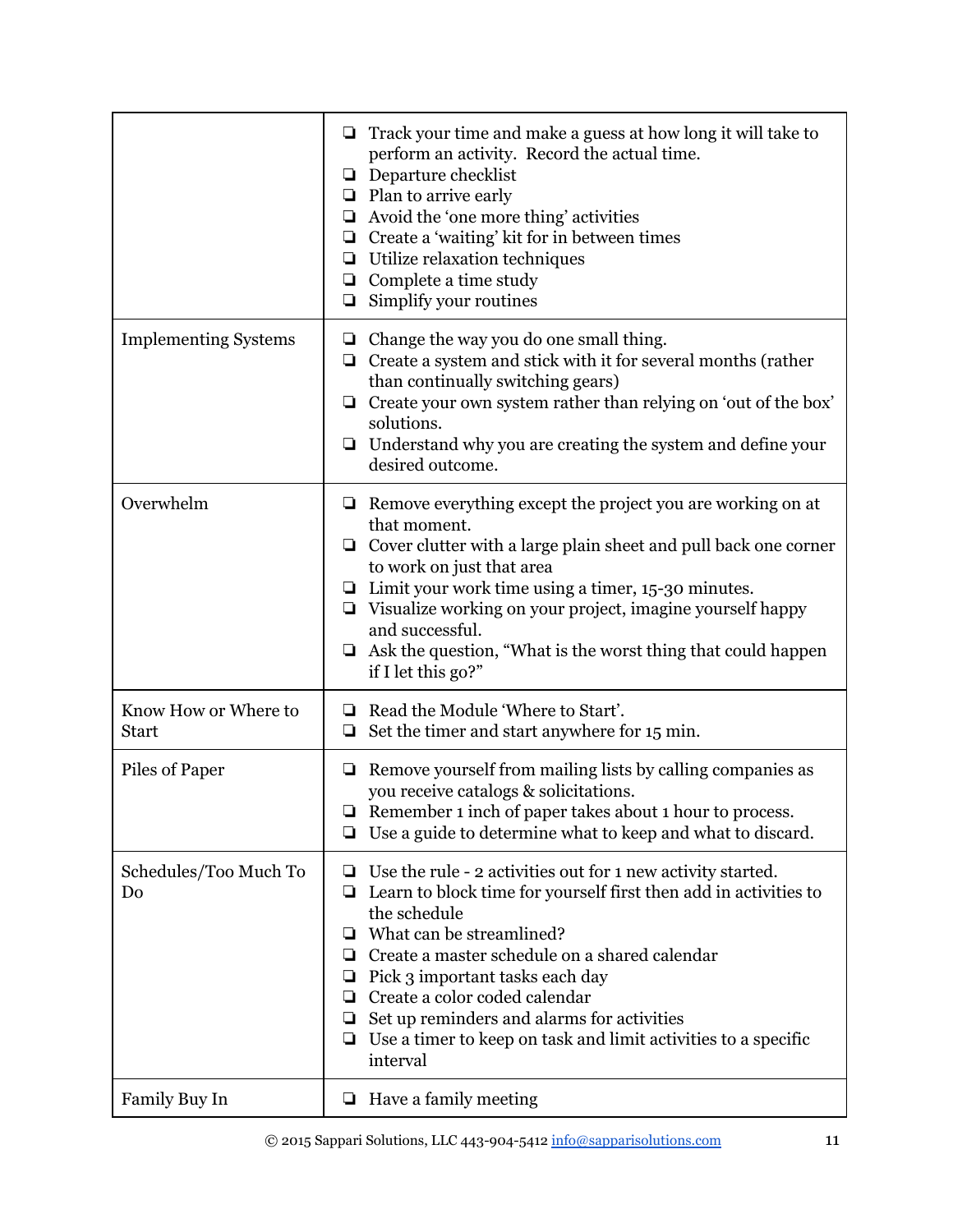|                                      | Track your time and make a guess at how long it will take to<br>❏<br>perform an activity. Record the actual time.<br>Departure checklist<br>❏<br>Plan to arrive early<br>❏<br>Avoid the 'one more thing' activities<br>❏<br>Create a 'waiting' kit for in between times<br>❏<br>Utilize relaxation techniques<br>❏<br>Complete a time study<br>$\Box$<br>Simplify your routines<br>❏                                                                                 |
|--------------------------------------|----------------------------------------------------------------------------------------------------------------------------------------------------------------------------------------------------------------------------------------------------------------------------------------------------------------------------------------------------------------------------------------------------------------------------------------------------------------------|
| <b>Implementing Systems</b>          | Change the way you do one small thing.<br>❏<br>Create a system and stick with it for several months (rather<br>❏<br>than continually switching gears)<br>Create your own system rather than relying on 'out of the box'<br>⊔<br>solutions.<br>Understand why you are creating the system and define your<br>❏<br>desired outcome.                                                                                                                                    |
| Overwhelm                            | Remove everything except the project you are working on at<br>❏<br>that moment.<br>Cover clutter with a large plain sheet and pull back one corner<br>❏<br>to work on just that area<br>Limit your work time using a timer, 15-30 minutes.<br>u<br>Visualize working on your project, imagine yourself happy<br>❏<br>and successful.<br>Ask the question, "What is the worst thing that could happen<br>❏<br>if I let this $go?"$                                    |
| Know How or Where to<br><b>Start</b> | Read the Module 'Where to Start'.<br>u<br>Set the timer and start anywhere for 15 min.<br>❏                                                                                                                                                                                                                                                                                                                                                                          |
| Piles of Paper                       | Remove yourself from mailing lists by calling companies as<br>❏<br>you receive catalogs & solicitations.<br>$\Box$ Remember 1 inch of paper takes about 1 hour to process.<br>Use a guide to determine what to keep and what to discard.<br>⊔                                                                                                                                                                                                                        |
| Schedules/Too Much To<br>Do          | Use the rule - 2 activities out for 1 new activity started.<br>❏<br>Learn to block time for yourself first then add in activities to<br>❏<br>the schedule<br>What can be streamlined?<br>ப<br>Create a master schedule on a shared calendar<br>⊔<br>Pick 3 important tasks each day<br>⊔<br>Create a color coded calendar<br>⊔<br>Set up reminders and alarms for activities<br>⊔<br>Use a timer to keep on task and limit activities to a specific<br>❏<br>interval |
| Family Buy In                        | Have a family meeting<br>⊔                                                                                                                                                                                                                                                                                                                                                                                                                                           |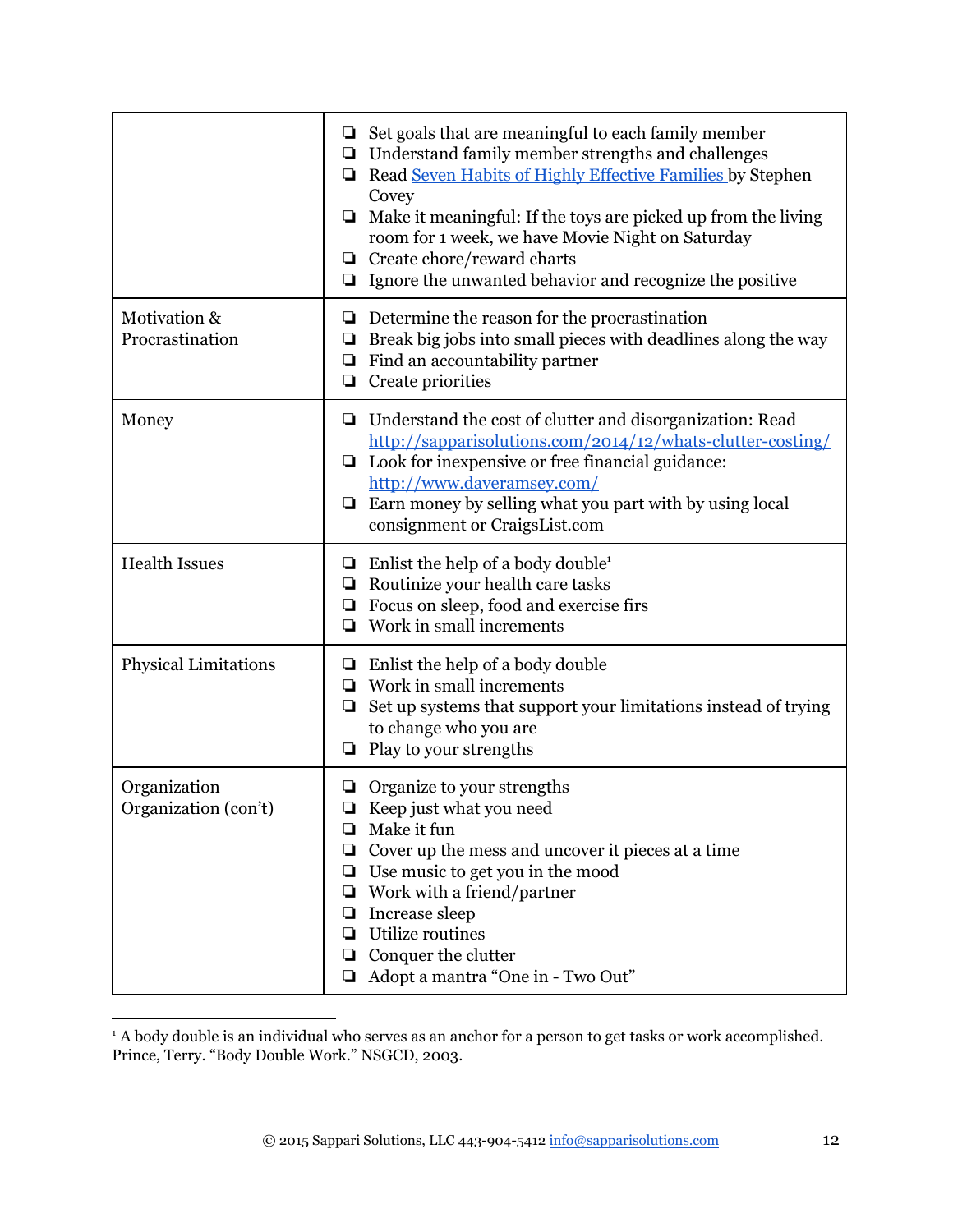|                                      | Set goals that are meaningful to each family member<br>❏<br>Understand family member strengths and challenges<br>u<br>Read Seven Habits of Highly Effective Families by Stephen<br>❏<br>Covey<br>Make it meaningful: If the toys are picked up from the living<br>❏<br>room for 1 week, we have Movie Night on Saturday<br>Create chore/reward charts<br>❏<br>Ignore the unwanted behavior and recognize the positive<br>❏ |
|--------------------------------------|----------------------------------------------------------------------------------------------------------------------------------------------------------------------------------------------------------------------------------------------------------------------------------------------------------------------------------------------------------------------------------------------------------------------------|
| Motivation &<br>Procrastination      | Determine the reason for the procrastination<br>❏<br>Break big jobs into small pieces with deadlines along the way<br>❏<br>Find an accountability partner<br>❏<br>Create priorities<br>❏                                                                                                                                                                                                                                   |
| Money                                | Understand the cost of clutter and disorganization: Read<br>⊔<br>http://sapparisolutions.com/2014/12/whats-clutter-costing/<br>Look for inexpensive or free financial guidance:<br>❏<br>http://www.daveramsey.com/<br>Earn money by selling what you part with by using local<br>❏<br>consignment or CraigsList.com                                                                                                        |
| <b>Health Issues</b>                 | Enlist the help of a body double <sup>1</sup><br>❏<br>Routinize your health care tasks<br>$\Box$<br>Focus on sleep, food and exercise firs<br>u<br>Work in small increments<br>❏                                                                                                                                                                                                                                           |
| <b>Physical Limitations</b>          | Enlist the help of a body double<br>u<br>Work in small increments<br>❏<br>Set up systems that support your limitations instead of trying<br>❏<br>to change who you are<br>Play to your strengths<br>❏                                                                                                                                                                                                                      |
| Organization<br>Organization (con't) | Organize to your strengths<br>⊔<br>$\Box$ Keep just what you need<br>Make it fun<br>⊔<br>Cover up the mess and uncover it pieces at a time<br>❏<br>Use music to get you in the mood<br>❏<br>Work with a friend/partner<br>❏<br>Increase sleep<br>⊔<br>Utilize routines<br>⊔<br>Conquer the clutter<br>⊔<br>Adopt a mantra "One in - Two Out"<br>❏                                                                          |

<sup>1</sup> A body double is an individual who serves as an anchor for a person to get tasks or work accomplished. Prince, Terry. "Body Double Work." NSGCD, 2003.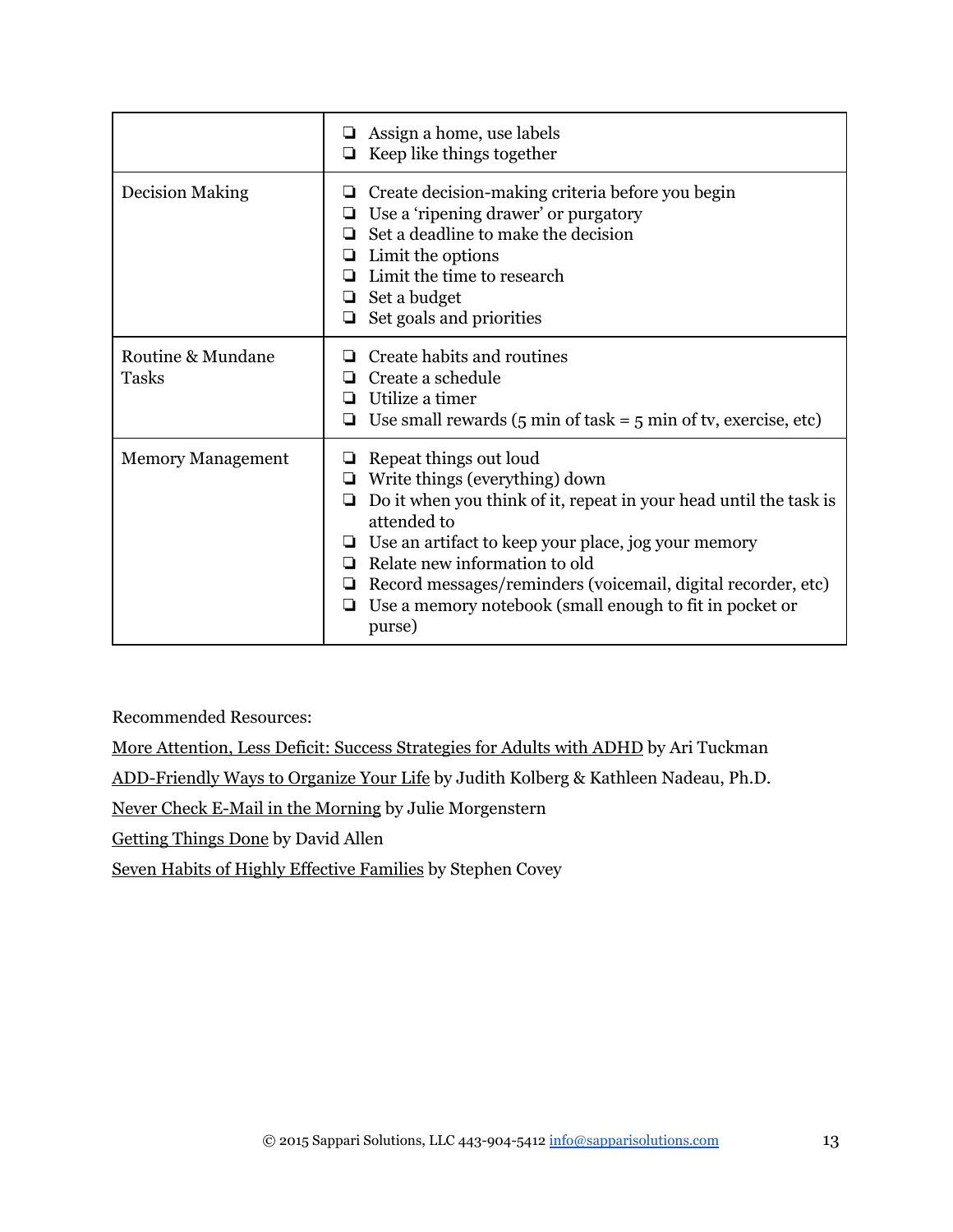|                                   | Assign a home, use labels<br>Keep like things together<br>❏                                                                                                                                                                                                                                                                                                                                                  |
|-----------------------------------|--------------------------------------------------------------------------------------------------------------------------------------------------------------------------------------------------------------------------------------------------------------------------------------------------------------------------------------------------------------------------------------------------------------|
| <b>Decision Making</b>            | Create decision-making criteria before you begin<br>⊔<br>Use a 'ripening drawer' or purgatory<br>❏<br>Set a deadline to make the decision<br>ப<br>Limit the options<br>❏<br>Limit the time to research<br>Set a budget<br>❏<br>Set goals and priorities<br>❏                                                                                                                                                 |
| Routine & Mundane<br><b>Tasks</b> | Create habits and routines<br>Create a schedule<br>ப<br>Utilize a timer<br>❏<br>Use small rewards $(5 \text{ min of task} = 5 \text{ min of tv}, \text{ exercise}, \text{etc})$<br>❏                                                                                                                                                                                                                         |
| <b>Memory Management</b>          | Repeat things out loud<br>⊔<br>Write things (everything) down<br>⊔<br>Do it when you think of it, repeat in your head until the task is<br>❏<br>attended to<br>Use an artifact to keep your place, jog your memory<br>⊔<br>Relate new information to old<br>□<br>Record messages/reminders (voicemail, digital recorder, etc)<br>⊔<br>Use a memory notebook (small enough to fit in pocket or<br>⊔<br>purse) |

Recommended Resources:

More Attention, Less Deficit: Success Strategies for Adults with ADHD by Ari Tuckman

ADD-Friendly Ways to Organize Your Life by Judith Kolberg & Kathleen Nadeau, Ph.D.

Never Check E-Mail in the Morning by Julie Morgenstern

Getting Things Done by David Allen

Seven Habits of Highly Effective Families by Stephen Covey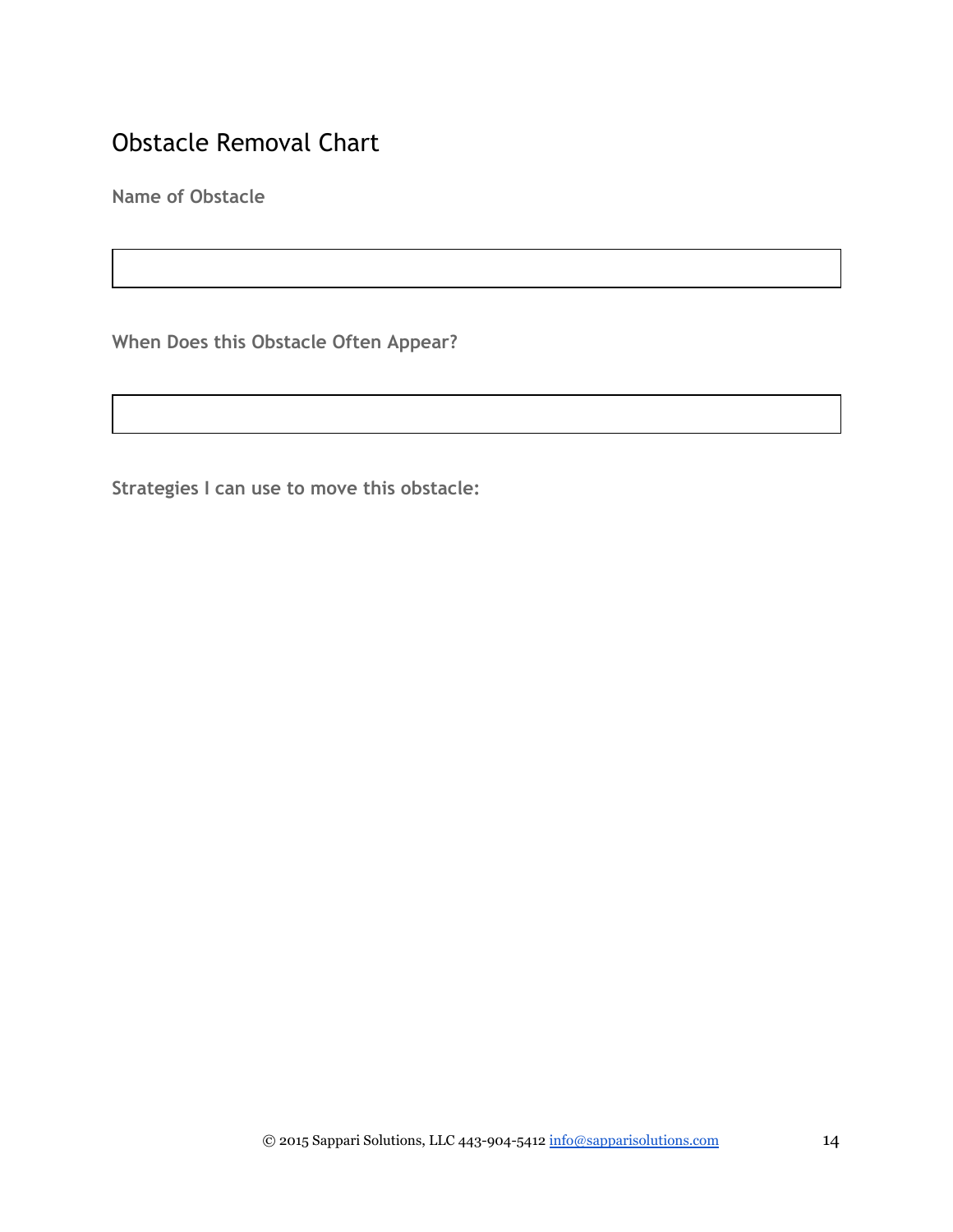# Obstacle Removal Chart

**Name of Obstacle**

**When Does this Obstacle Often Appear?**

**Strategies I can use to move this obstacle:**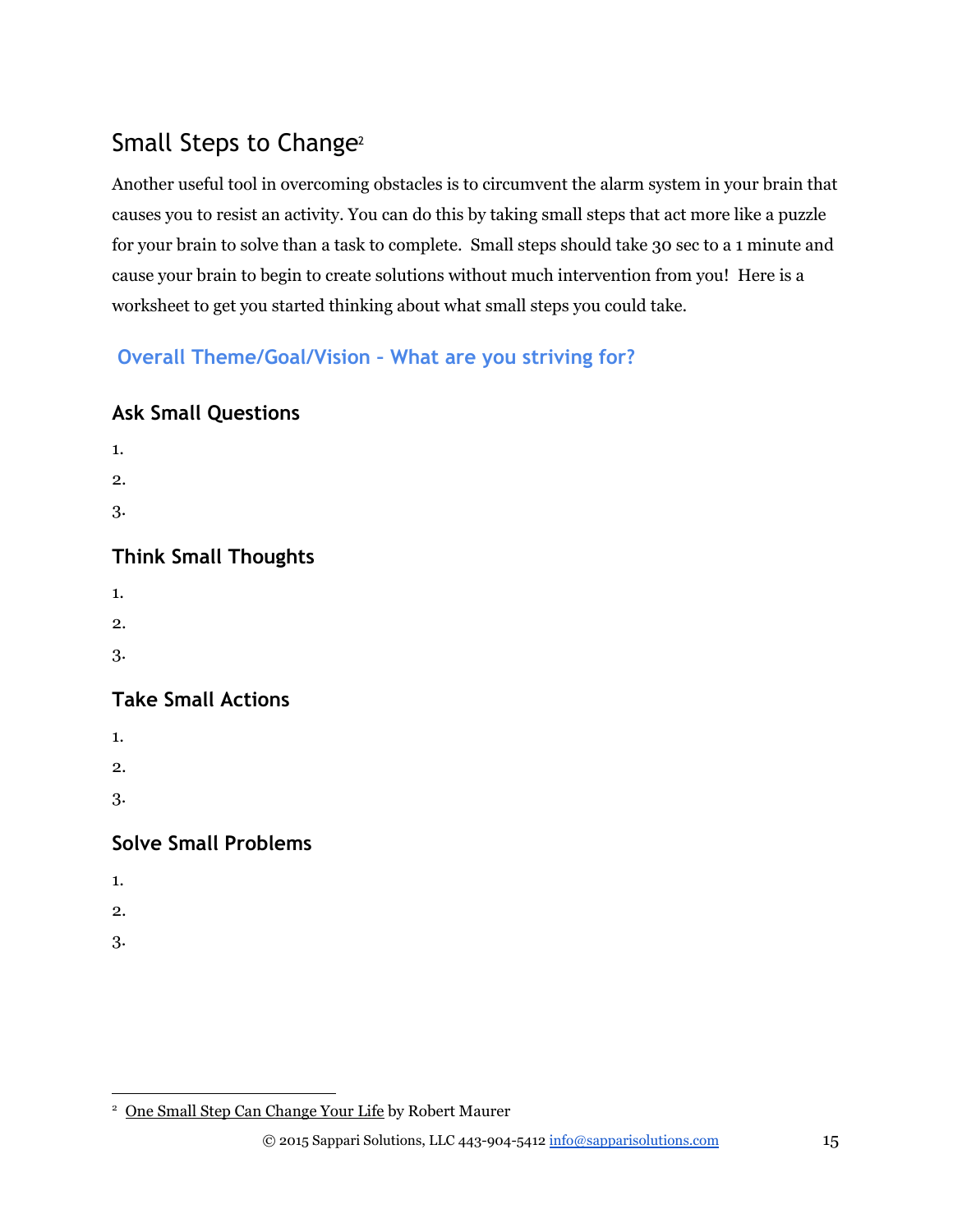# Small Steps to Change<sup>2</sup>

Another useful tool in overcoming obstacles is to circumvent the alarm system in your brain that causes you to resist an activity. You can do this by taking small steps that act more like a puzzle for your brain to solve than a task to complete. Small steps should take 30 sec to a 1 minute and cause your brain to begin to create solutions without much intervention from you! Here is a worksheet to get you started thinking about what small steps you could take.

**Overall Theme/Goal/Vision – What are you striving for?**

## **Ask Small Questions**

- 1. 2. 3. **Think Small Thoughts** 1. 2. 3. **Take Small Actions** 1.
- 2.
- 3.

**Solve Small Problems**

- 1.
- 2.
- 3.

<sup>&</sup>lt;sup>2</sup> One Small Step Can Change Your Life by Robert Maurer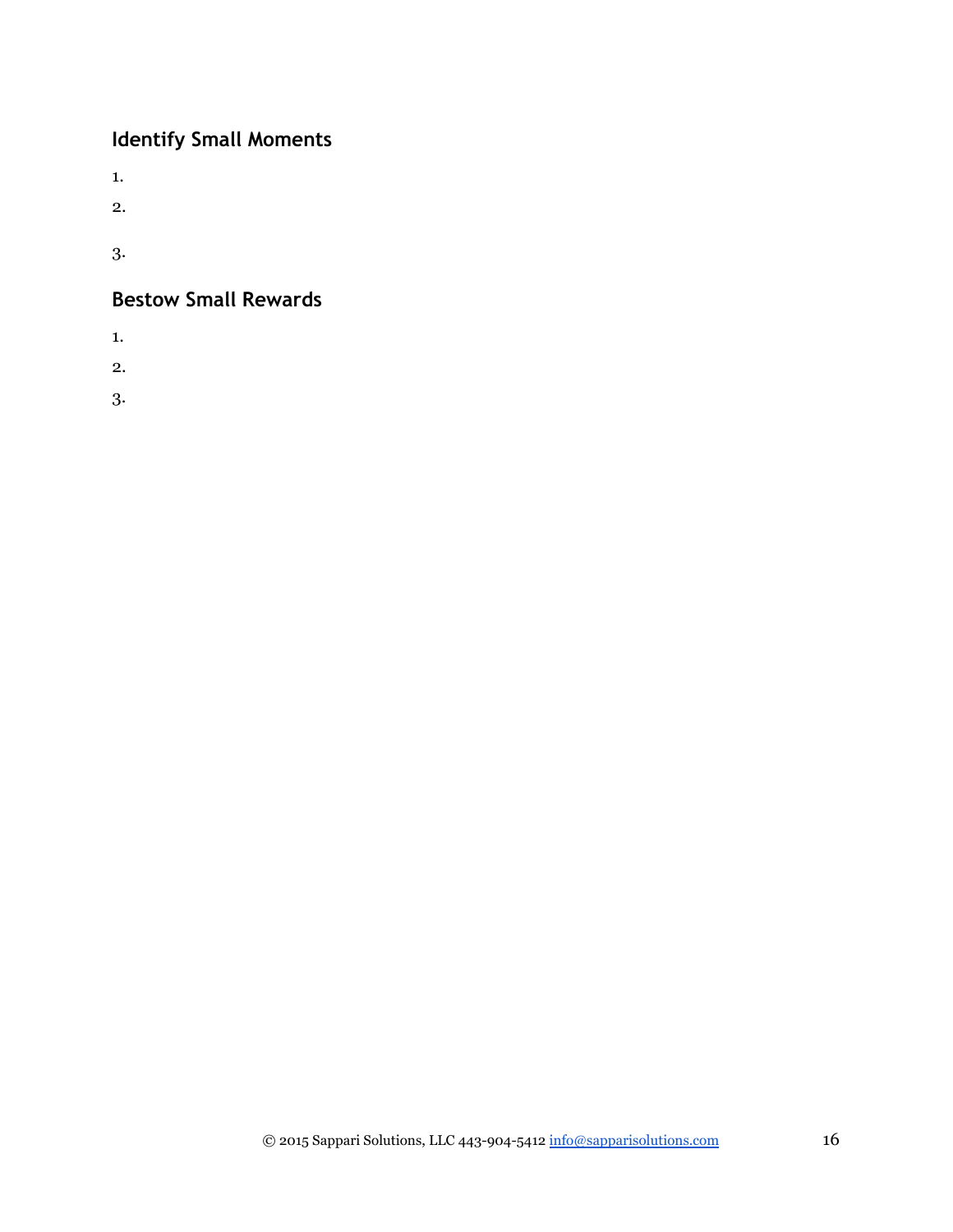# **Identify Small Moments**

- 1.
- 
- 2.
- 3.

### **Bestow Small Rewards**

- 1.
- 2.
- 
- 3.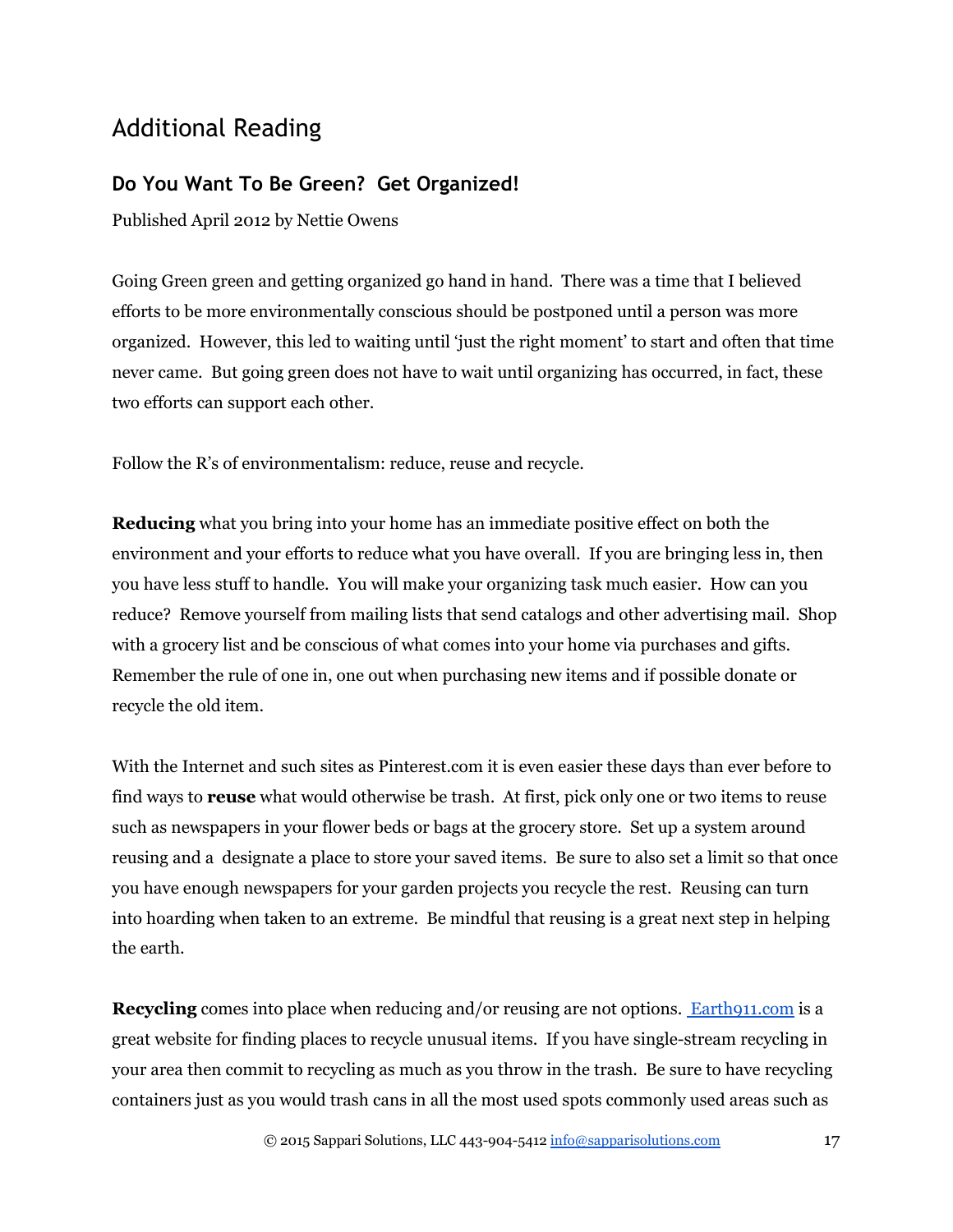# Additional Reading

### **Do You Want To Be Green? Get Organized!**

Published April 2012 by Nettie Owens

Going Green green and getting organized go hand in hand. There was a time that I believed efforts to be more environmentally conscious should be postponed until a person was more organized. However, this led to waiting until 'just the right moment' to start and often that time never came. But going green does not have to wait until organizing has occurred, in fact, these two efforts can support each other.

Follow the R's of environmentalism: reduce, reuse and recycle.

**Reducing** what you bring into your home has an immediate positive effect on both the environment and your efforts to reduce what you have overall. If you are bringing less in, then you have less stuff to handle. You will make your organizing task much easier. How can you reduce? Remove yourself from mailing lists that send catalogs and other advertising mail. Shop with a grocery list and be conscious of what comes into your home via purchases and gifts. Remember the rule of one in, one out when purchasing new items and if possible donate or recycle the old item.

With the Internet and such sites as Pinterest.com it is even easier these days than ever before to find ways to **reuse** what would otherwise be trash. At first, pick only one or two items to reuse such as newspapers in your flower beds or bags at the grocery store. Set up a system around reusing and a designate a place to store your saved items. Be sure to also set a limit so that once you have enough newspapers for your garden projects you recycle the rest. Reusing can turn into hoarding when taken to an extreme. Be mindful that reusing is a great next step in helping the earth.

**Recycling** comes into place when reducing and/or reusing are not options. [Earth911.com](http://www.earth911.com/) is a great website for finding places to recycle unusual items. If you have single-stream recycling in your area then commit to recycling as much as you throw in the trash. Be sure to have recycling containers just as you would trash cans in all the most used spots commonly used areas such as